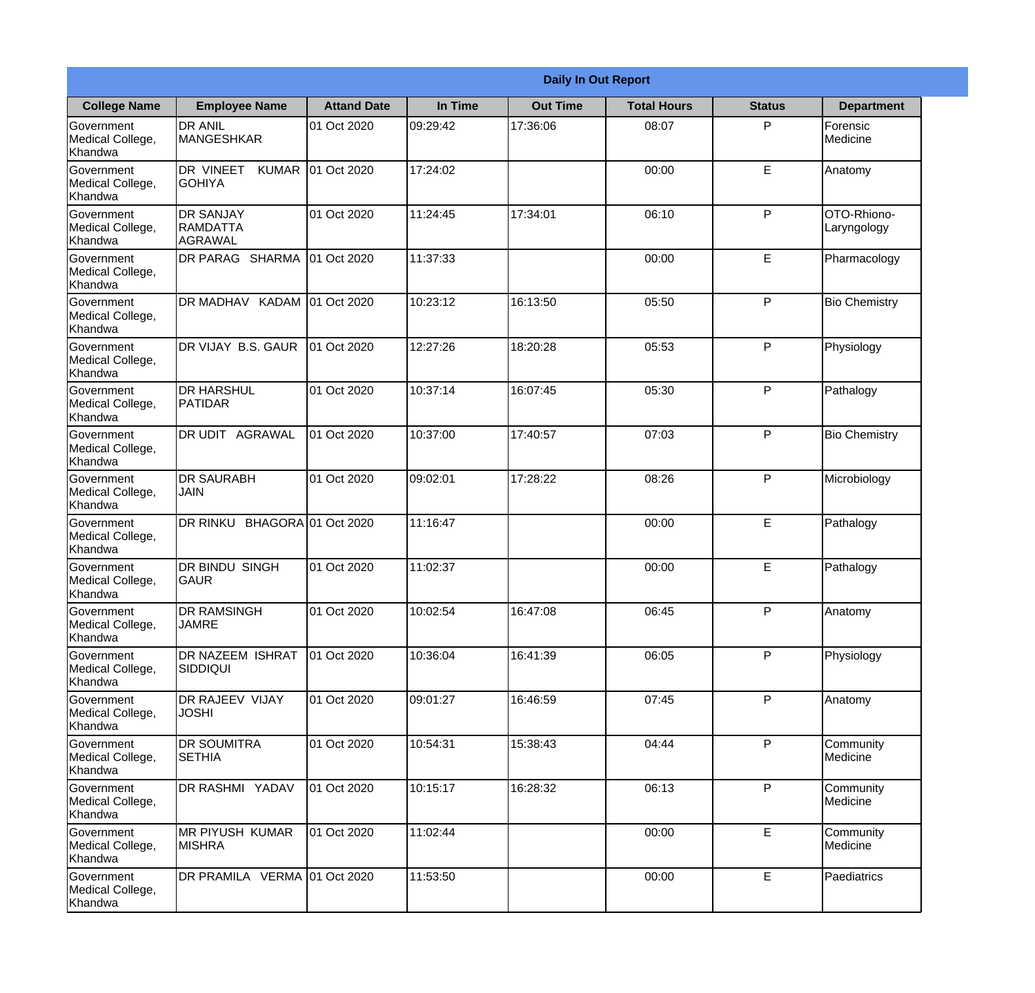|                                                  |                                                |                     |          | <b>Daily In Out Report</b> |                    |               |                            |
|--------------------------------------------------|------------------------------------------------|---------------------|----------|----------------------------|--------------------|---------------|----------------------------|
| <b>College Name</b>                              | <b>Employee Name</b>                           | <b>Attand Date</b>  | In Time  | <b>Out Time</b>            | <b>Total Hours</b> | <b>Status</b> | <b>Department</b>          |
| Government<br>Medical College,<br>Khandwa        | <b>DR ANIL</b><br>MANGESHKAR                   | 01 Oct 2020         | 09:29:42 | 17:36:06                   | 08:07              | P             | Forensic<br>Medicine       |
| Government<br>Medical College,<br>Khandwa        | DR VINEET<br><b>KUMAR</b><br><b>GOHIYA</b>     | 01 Oct 2020         | 17:24:02 |                            | 00:00              | E             | Anatomy                    |
| <b>Government</b><br>Medical College,<br>Khandwa | <b>DR SANJAY</b><br><b>RAMDATTA</b><br>AGRAWAL | 01 Oct 2020         | 11:24:45 | 17:34:01                   | 06:10              | P             | OTO-Rhiono-<br>Laryngology |
| Government<br>Medical College,<br>Khandwa        | DR PARAG SHARMA                                | 01 Oct 2020         | 11:37:33 |                            | 00:00              | E             | Pharmacology               |
| Government<br>Medical College,<br>Khandwa        | IDR MADHAV KADAM 01 Oct 2020                   |                     | 10:23:12 | 16:13:50                   | 05:50              | P             | <b>Bio Chemistry</b>       |
| Government<br>Medical College,<br>Khandwa        | DR VIJAY B.S. GAUR                             | 01 Oct 2020         | 12:27:26 | 18:20:28                   | 05:53              | P             | Physiology                 |
| Government<br>Medical College,<br>Khandwa        | <b>I</b> DR HARSHUL<br><b>PATIDAR</b>          | 01 Oct 2020         | 10:37:14 | 16:07:45                   | 05:30              | P             | Pathalogy                  |
| Government<br>Medical College,<br>Khandwa        | DR UDIT AGRAWAL                                | 01 Oct 2020         | 10:37:00 | 17:40:57                   | 07:03              | P             | <b>Bio Chemistry</b>       |
| Government<br>Medical College,<br>Khandwa        | <b>DR SAURABH</b><br><b>JAIN</b>               | 01 Oct 2020         | 09:02:01 | 17:28:22                   | 08:26              | P             | Microbiology               |
| Government<br>Medical College,<br>Khandwa        | DR RINKU                                       | BHAGORA 01 Oct 2020 | 11:16:47 |                            | 00:00              | E             | Pathalogy                  |
| Government<br>Medical College,<br>Khandwa        | <b>IDR BINDU SINGH</b><br>GAUR                 | 01 Oct 2020         | 11:02:37 |                            | 00:00              | E             | Pathalogy                  |
| Government<br>Medical College,<br>Khandwa        | <b>DR RAMSINGH</b><br><b>JAMRE</b>             | 01 Oct 2020         | 10:02:54 | 16:47:08                   | 06:45              | P             | Anatomy                    |
| Government<br>Medical College,<br>Khandwa        | DR NAZEEM ISHRAT<br>SIDDIQUI                   | 01 Oct 2020         | 10:36:04 | 16:41:39                   | 06:05              | P             | Physiology                 |
| Government<br>Medical College,<br>Khandwa        | DR RAJEEV VIJAY<br><b>JOSHI</b>                | 01 Oct 2020         | 09:01:27 | 16:46:59                   | 07:45              | P             | Anatomy                    |
| Government<br>Medical College,<br>Khandwa        | <b>DR SOUMITRA</b><br><b>SETHIA</b>            | 01 Oct 2020         | 10:54:31 | 15:38:43                   | 04:44              | P             | Community<br>Medicine      |
| Government<br>Medical College,<br>Khandwa        | DR RASHMI YADAV                                | 01 Oct 2020         | 10:15:17 | 16:28:32                   | 06:13              | P             | Community<br>Medicine      |
| Government<br>Medical College,<br>Khandwa        | <b>MR PIYUSH KUMAR</b><br><b>MISHRA</b>        | 01 Oct 2020         | 11:02:44 |                            | 00:00              | E             | Community<br>Medicine      |
| Government<br>Medical College,<br>Khandwa        | DR PRAMILA VERMA 01 Oct 2020                   |                     | 11:53:50 |                            | 00:00              | E             | Paediatrics                |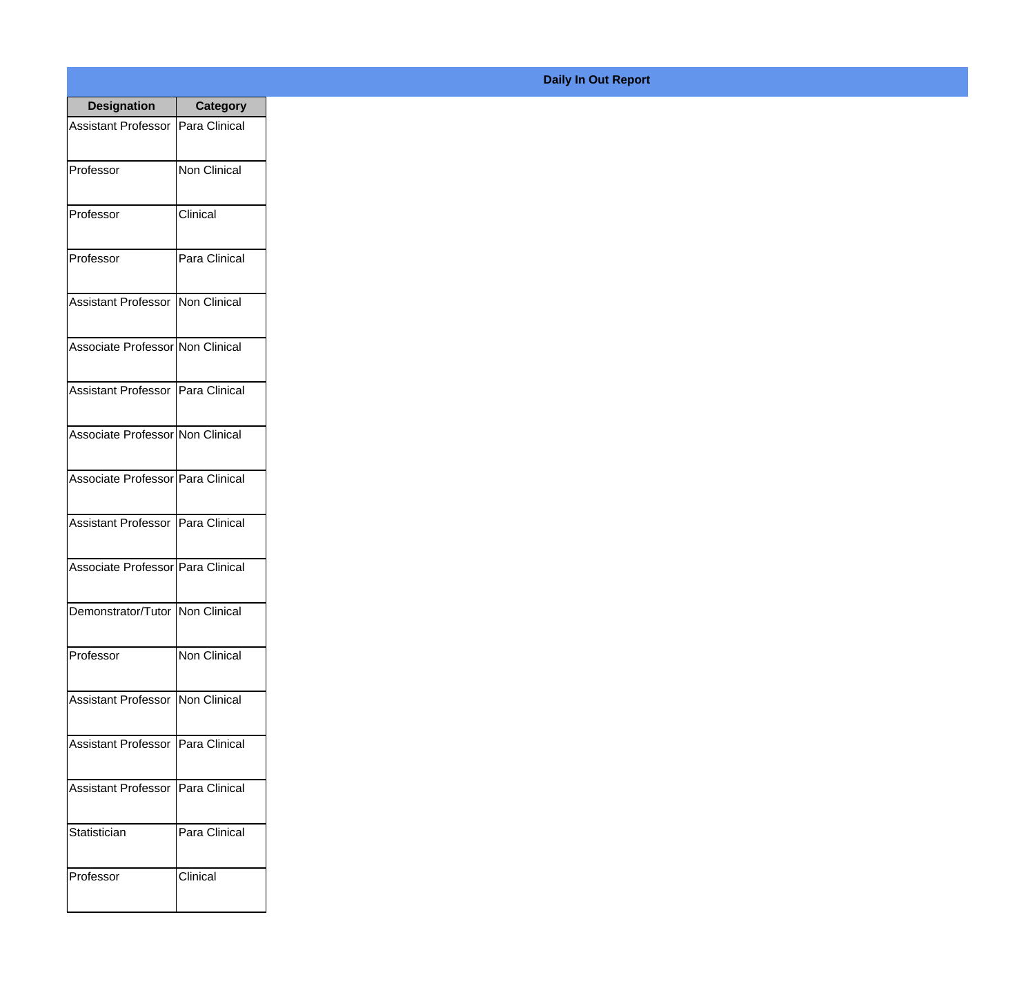| <b>Designation</b>                  | <b>Category</b>     |
|-------------------------------------|---------------------|
| Assistant Professor                 | Para Clinical       |
| Professor                           | Non Clinical        |
| Professor                           | Clinical            |
| Professor                           | Para Clinical       |
| <b>Assistant Professor</b>          | Non Clinical        |
| Associate Professor Non Clinical    |                     |
| Assistant Professor   Para Clinical |                     |
| Associate Professor Non Clinical    |                     |
| Associate Professor Para Clinical   |                     |
| Assistant Professor   Para Clinical |                     |
| Associate Professor Para Clinical   |                     |
| Demonstrator/Tutor   Non Clinical   |                     |
| Professor                           | <b>Non Clinical</b> |
| Assistant Professor   Non Clinical  |                     |
| <b>Assistant Professor</b>          | Para Clinical       |
| <b>Assistant Professor</b>          | Para Clinical       |
| Statistician                        | Para Clinical       |
| Professor                           | Clinical            |

## **Daily In Out Report**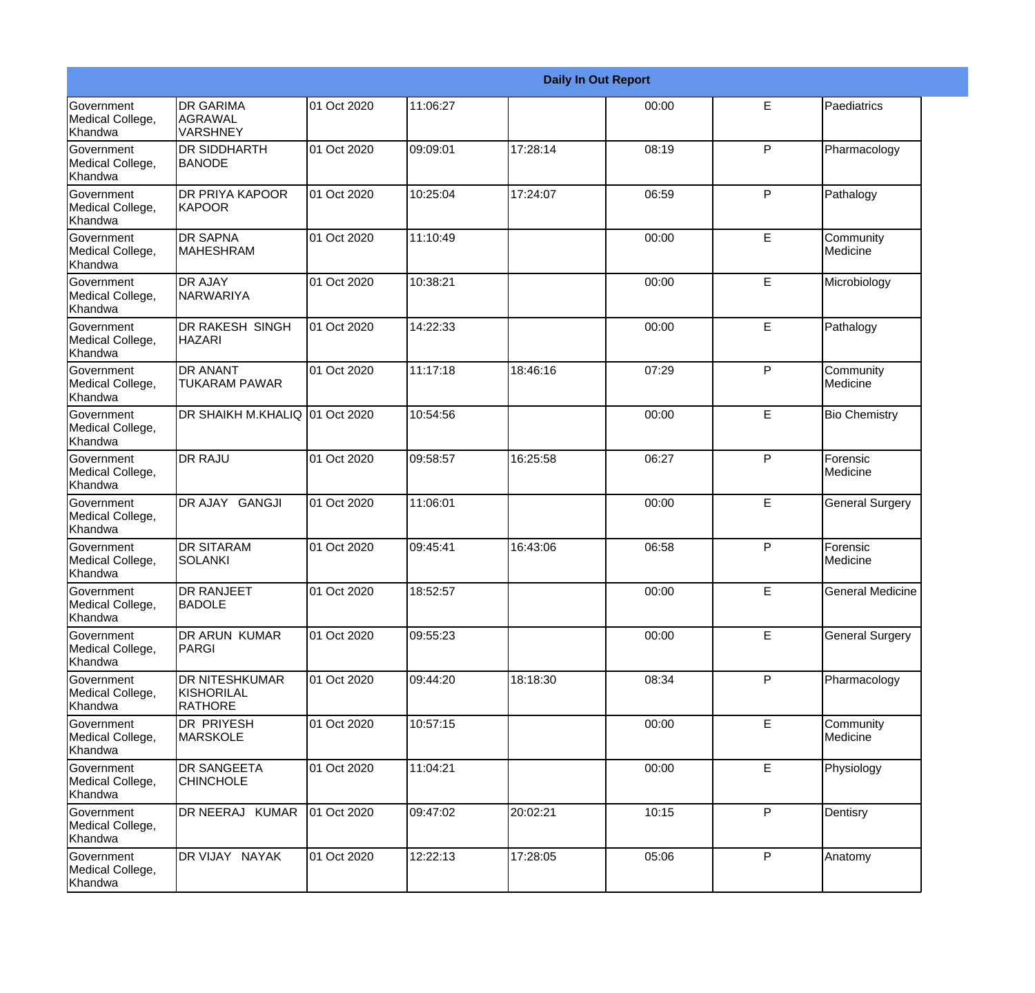|                                           |                                                       |             |          |          | <b>Daily In Out Report</b> |              |                         |
|-------------------------------------------|-------------------------------------------------------|-------------|----------|----------|----------------------------|--------------|-------------------------|
| Government<br>Medical College,<br>Khandwa | <b>DR GARIMA</b><br><b>AGRAWAL</b><br><b>VARSHNEY</b> | 01 Oct 2020 | 11:06:27 |          | 00:00                      | E            | Paediatrics             |
| Government<br>Medical College,<br>Khandwa | <b>DR SIDDHARTH</b><br><b>BANODE</b>                  | 01 Oct 2020 | 09:09:01 | 17:28:14 | 08:19                      | $\mathsf{P}$ | Pharmacology            |
| Government<br>Medical College,<br>Khandwa | <b>DR PRIYA KAPOOR</b><br><b>KAPOOR</b>               | 01 Oct 2020 | 10:25:04 | 17:24:07 | 06:59                      | $\mathsf{P}$ | Pathalogy               |
| Government<br>Medical College,<br>Khandwa | <b>DR SAPNA</b><br>MAHESHRAM                          | 01 Oct 2020 | 11:10:49 |          | 00:00                      | E            | Community<br>Medicine   |
| Government<br>Medical College,<br>Khandwa | <b>DR AJAY</b><br><b>NARWARIYA</b>                    | 01 Oct 2020 | 10:38:21 |          | 00:00                      | E            | Microbiology            |
| Government<br>Medical College,<br>Khandwa | <b>DR RAKESH SINGH</b><br><b>HAZARI</b>               | 01 Oct 2020 | 14:22:33 |          | 00:00                      | E            | Pathalogy               |
| Government<br>Medical College,<br>Khandwa | <b>DR ANANT</b><br><b>TUKARAM PAWAR</b>               | 01 Oct 2020 | 11:17:18 | 18:46:16 | 07:29                      | $\mathsf{P}$ | Community<br>Medicine   |
| Government<br>Medical College,<br>Khandwa | DR SHAIKH M.KHALIQ 01 Oct 2020                        |             | 10:54:56 |          | 00:00                      | E            | <b>Bio Chemistry</b>    |
| Government<br>Medical College,<br>Khandwa | <b>DR RAJU</b>                                        | 01 Oct 2020 | 09:58:57 | 16:25:58 | 06:27                      | P            | Forensic<br>Medicine    |
| Government<br>Medical College,<br>Khandwa | DR AJAY GANGJI                                        | 01 Oct 2020 | 11:06:01 |          | 00:00                      | E            | General Surgery         |
| Government<br>Medical College,<br>Khandwa | <b>DR SITARAM</b><br>SOLANKI                          | 01 Oct 2020 | 09:45:41 | 16:43:06 | 06:58                      | P            | Forensic<br>Medicine    |
| Government<br>Medical College,<br>Khandwa | <b>DR RANJEET</b><br><b>BADOLE</b>                    | 01 Oct 2020 | 18:52:57 |          | 00:00                      | E            | <b>General Medicine</b> |
| Government<br>Medical College,<br>Khandwa | <b>DR ARUN KUMAR</b><br>PARGI                         | 01 Oct 2020 | 09:55:23 |          | 00:00                      | E            | <b>General Surgery</b>  |
| Government<br>Medical College,<br>Khandwa | <b>DR NITESHKUMAR</b><br>KISHORILAL<br><b>RATHORE</b> | 01 Oct 2020 | 09:44:20 | 18:18:30 | 08:34                      | P            | Pharmacology            |
| Government<br>Medical College,<br>Khandwa | <b>DR PRIYESH</b><br><b>MARSKOLE</b>                  | 01 Oct 2020 | 10:57:15 |          | 00:00                      | E            | Community<br>Medicine   |
| Government<br>Medical College,<br>Khandwa | <b>DR SANGEETA</b><br><b>CHINCHOLE</b>                | 01 Oct 2020 | 11:04:21 |          | 00:00                      | E            | Physiology              |
| Government<br>Medical College,<br>Khandwa | DR NEERAJ KUMAR                                       | 01 Oct 2020 | 09:47:02 | 20:02:21 | 10:15                      | P            | Dentisry                |
| Government<br>Medical College,<br>Khandwa | DR VIJAY NAYAK                                        | 01 Oct 2020 | 12:22:13 | 17:28:05 | 05:06                      | P            | Anatomy                 |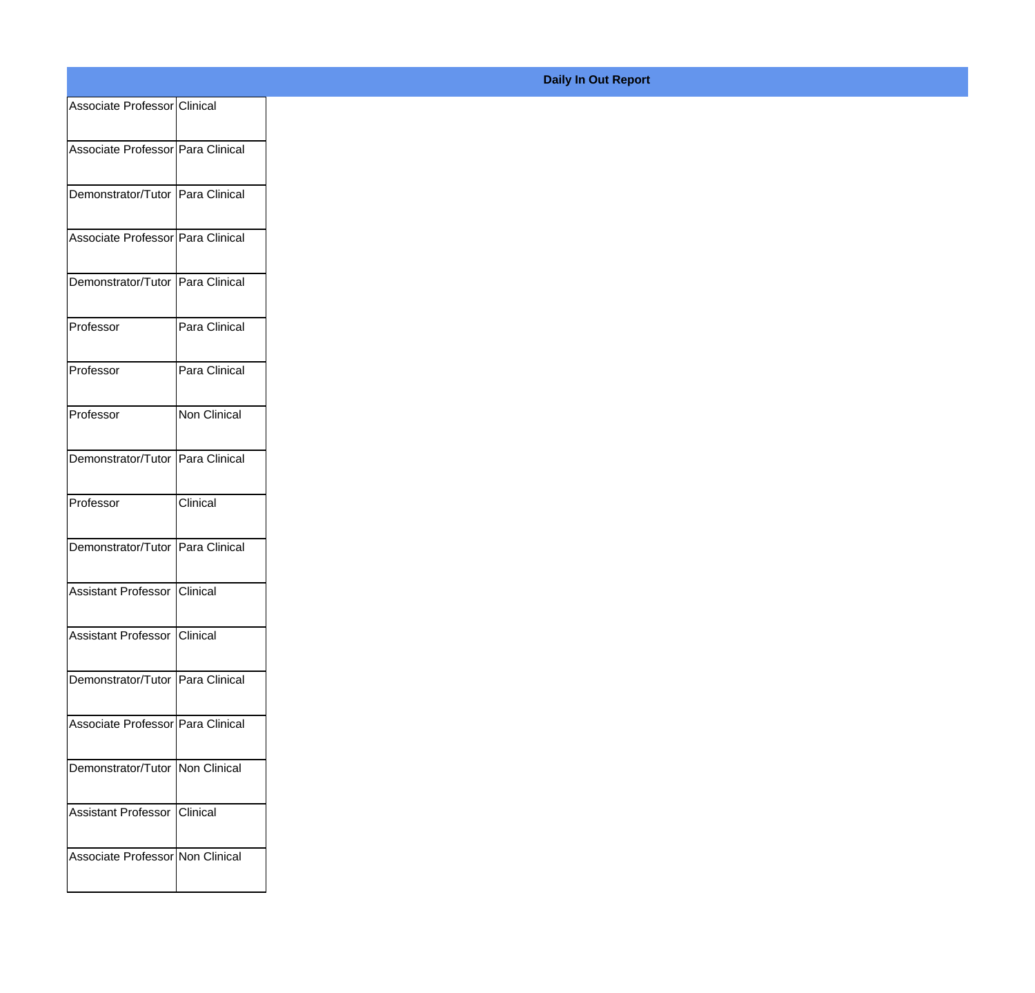| Associate Professor Clinical        |                     |  |
|-------------------------------------|---------------------|--|
| Associate Professor   Para Clinical |                     |  |
| Demonstrator/Tutor   Para Clinical  |                     |  |
| Associate Professor   Para Clinical |                     |  |
| Demonstrator/Tutor   Para Clinical  |                     |  |
| Professor                           | Para Clinical       |  |
| Professor                           | Para Clinical       |  |
| Professor                           | <b>Non Clinical</b> |  |
| Demonstrator/Tutor   Para Clinical  |                     |  |
| Professor                           | Clinical            |  |
| Demonstrator/Tutor   Para Clinical  |                     |  |
| Assistant Professor   Clinical      |                     |  |
| Assistant Professor Clinical        |                     |  |
| Demonstrator/Tutor   Para Clinical  |                     |  |
| Associate Professor   Para Clinical |                     |  |
| Demonstrator/Tutor Non Clinical     |                     |  |
| Assistant Professor Clinical        |                     |  |
| Associate Professor Non Clinical    |                     |  |

## **Daily In Out Report**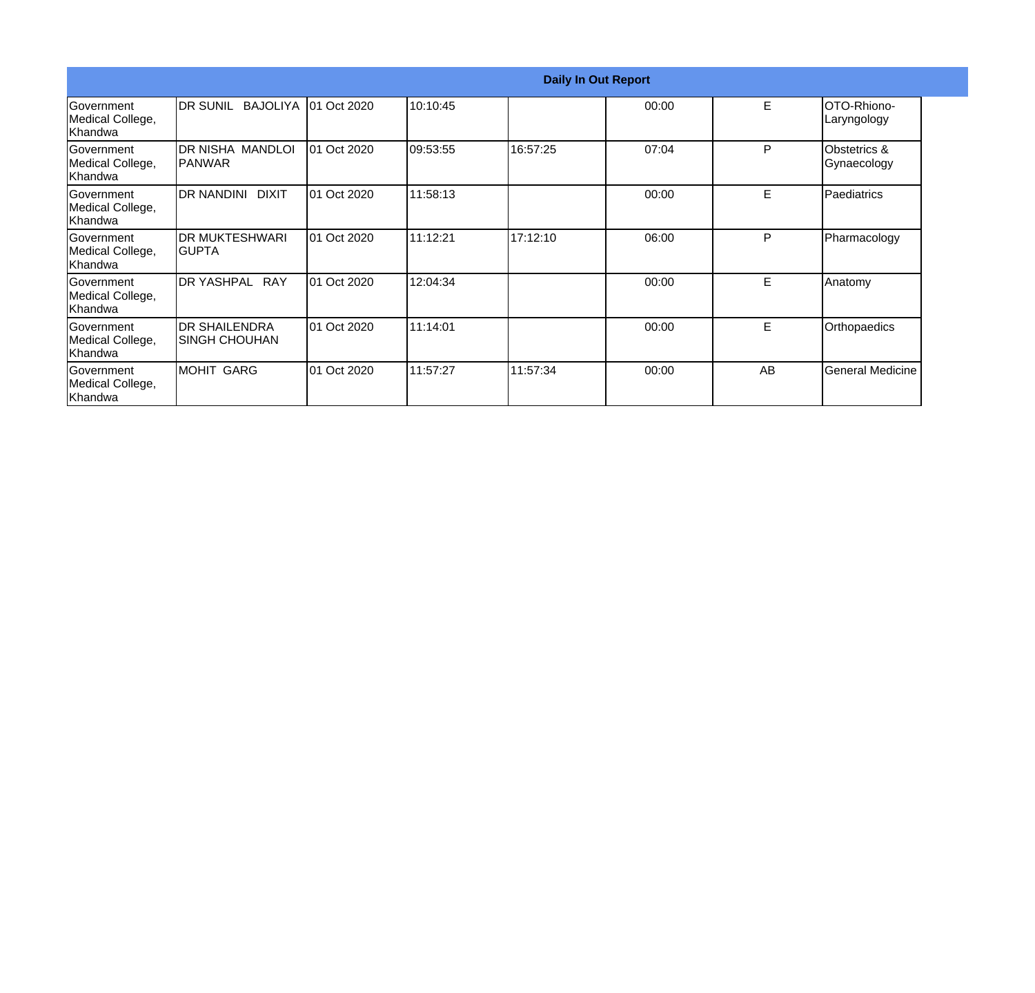|                                                   |                                        |             |          |          | <b>Daily In Out Report</b> |    |                                   |
|---------------------------------------------------|----------------------------------------|-------------|----------|----------|----------------------------|----|-----------------------------------|
| <b>Government</b><br>Medical College,<br> Khandwa | <b>IDR SUNIL BAJOLIYA 101 Oct 2020</b> |             | 10:10:45 |          | 00:00                      | E  | <b>OTO-Rhiono-</b><br>Laryngology |
| <b>Government</b><br>Medical College,<br> Khandwa | IDR NISHA MANDLOI.<br>IPANWAR          | 01 Oct 2020 | 09:53:55 | 16:57:25 | 07:04                      | P  | Obstetrics &<br>Gynaecology       |
| Government<br>Medical College,<br> Khandwa        | IDR NANDINI<br><b>DIXIT</b>            | 01 Oct 2020 | 11:58:13 |          | 00:00                      | E  | Paediatrics                       |
| <b>Government</b><br>Medical College,<br>Khandwa  | IDR MUKTESHWARI<br>IGUPTA              | 01 Oct 2020 | 11:12:21 | 17:12:10 | 06:00                      | P  | Pharmacology                      |
| <b>Government</b><br>Medical College,<br> Khandwa | <b>IDR YASHPAL RAY</b>                 | 01 Oct 2020 | 12:04:34 |          | 00:00                      | E  | Anatomy                           |
| lGovernment<br>Medical College,<br>Khandwa        | <b>DR SHAILENDRA</b><br>ISINGH CHOUHAN | 01 Oct 2020 | 11:14:01 |          | 00:00                      | E. | Orthopaedics                      |
| Government<br>Medical College,<br>Khandwa         | MOHIT GARG                             | 01 Oct 2020 | 11:57:27 | 11:57:34 | 00:00                      | AB | <b>General Medicine</b>           |